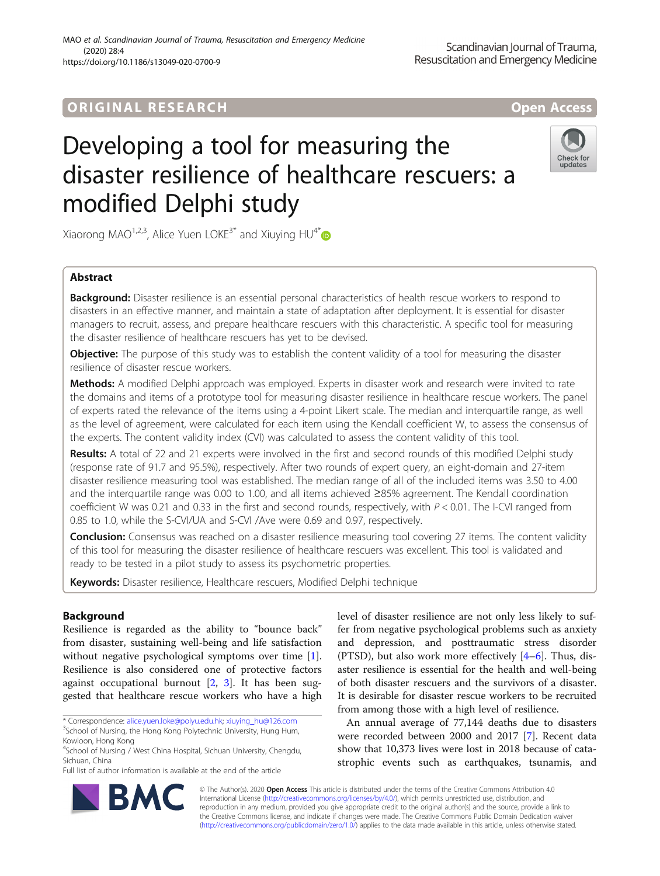## **ORIGINAL RESEARCH And Access** open Access

# Developing a tool for measuring the disaster resilience of healthcare rescuers: a modified Delphi study



Xiaorong MAO<sup>1,2,3</sup>, Alice Yuen LOKE<sup>3\*</sup> and Xiuying HU<sup>4\*</sup>

## Abstract

Background: Disaster resilience is an essential personal characteristics of health rescue workers to respond to disasters in an effective manner, and maintain a state of adaptation after deployment. It is essential for disaster managers to recruit, assess, and prepare healthcare rescuers with this characteristic. A specific tool for measuring the disaster resilience of healthcare rescuers has yet to be devised.

Objective: The purpose of this study was to establish the content validity of a tool for measuring the disaster resilience of disaster rescue workers.

Methods: A modified Delphi approach was employed. Experts in disaster work and research were invited to rate the domains and items of a prototype tool for measuring disaster resilience in healthcare rescue workers. The panel of experts rated the relevance of the items using a 4-point Likert scale. The median and interquartile range, as well as the level of agreement, were calculated for each item using the Kendall coefficient W, to assess the consensus of the experts. The content validity index (CVI) was calculated to assess the content validity of this tool.

Results: A total of 22 and 21 experts were involved in the first and second rounds of this modified Delphi study (response rate of 91.7 and 95.5%), respectively. After two rounds of expert query, an eight-domain and 27-item disaster resilience measuring tool was established. The median range of all of the included items was 3.50 to 4.00 and the interquartile range was 0.00 to 1.00, and all items achieved ≥85% agreement. The Kendall coordination coefficient W was 0.21 and 0.33 in the first and second rounds, respectively, with  $P < 0.01$ . The I-CVI ranged from 0.85 to 1.0, while the S-CVI/UA and S-CVI /Ave were 0.69 and 0.97, respectively.

Conclusion: Consensus was reached on a disaster resilience measuring tool covering 27 items. The content validity of this tool for measuring the disaster resilience of healthcare rescuers was excellent. This tool is validated and ready to be tested in a pilot study to assess its psychometric properties.

Keywords: Disaster resilience, Healthcare rescuers, Modified Delphi technique

## Background

Resilience is regarded as the ability to "bounce back" from disaster, sustaining well-being and life satisfaction without negative psychological symptoms over time [\[1](#page-10-0)]. Resilience is also considered one of protective factors against occupational burnout [[2,](#page-10-0) [3\]](#page-10-0). It has been suggested that healthcare rescue workers who have a high level of disaster resilience are not only less likely to suffer from negative psychological problems such as anxiety and depression, and posttraumatic stress disorder (PTSD), but also work more effectively  $[4-6]$  $[4-6]$  $[4-6]$  $[4-6]$  $[4-6]$ . Thus, disaster resilience is essential for the health and well-being of both disaster rescuers and the survivors of a disaster. It is desirable for disaster rescue workers to be recruited from among those with a high level of resilience.

An annual average of 77,144 deaths due to disasters were recorded between 2000 and 2017 [\[7](#page-10-0)]. Recent data show that 10,373 lives were lost in 2018 because of catastrophic events such as earthquakes, tsunamis, and



© The Author(s). 2020 **Open Access** This article is distributed under the terms of the Creative Commons Attribution 4.0 International License [\(http://creativecommons.org/licenses/by/4.0/](http://creativecommons.org/licenses/by/4.0/)), which permits unrestricted use, distribution, and reproduction in any medium, provided you give appropriate credit to the original author(s) and the source, provide a link to the Creative Commons license, and indicate if changes were made. The Creative Commons Public Domain Dedication waiver [\(http://creativecommons.org/publicdomain/zero/1.0/](http://creativecommons.org/publicdomain/zero/1.0/)) applies to the data made available in this article, unless otherwise stated.

<sup>\*</sup> Correspondence: [alice.yuen.loke@polyu.edu.hk;](mailto:alice.yuen.loke@polyu.edu.hk) [xiuying\\_hu@126.com](mailto:xiuying_hu@126.com) <sup>3</sup>

<sup>&</sup>lt;sup>3</sup>School of Nursing, the Hong Kong Polytechnic University, Hung Hum, Kowloon, Hong Kong

<sup>4</sup> School of Nursing / West China Hospital, Sichuan University, Chengdu, Sichuan, China

Full list of author information is available at the end of the article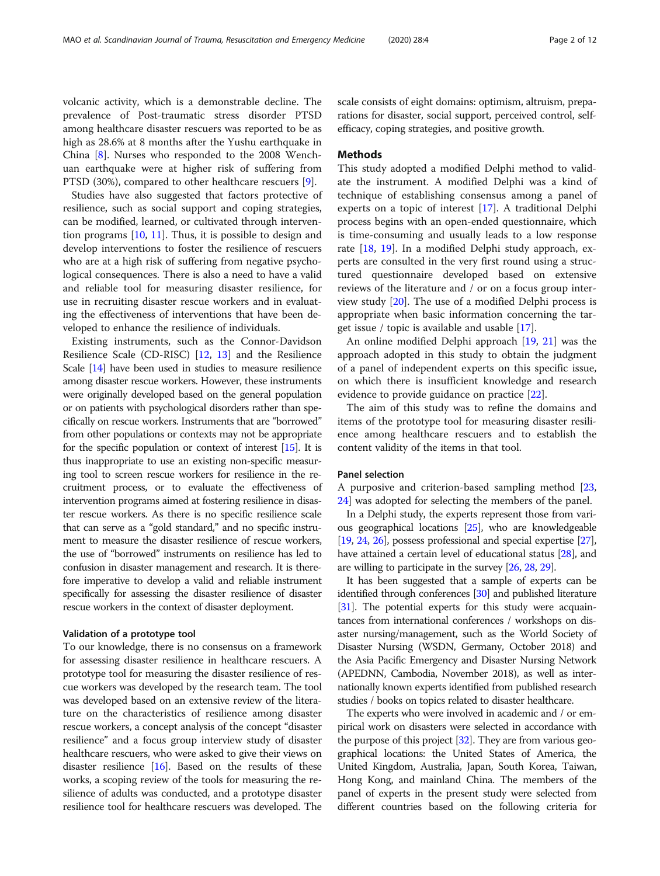volcanic activity, which is a demonstrable decline. The prevalence of Post-traumatic stress disorder PTSD among healthcare disaster rescuers was reported to be as high as 28.6% at 8 months after the Yushu earthquake in China [\[8](#page-10-0)]. Nurses who responded to the 2008 Wenchuan earthquake were at higher risk of suffering from PTSD (30%), compared to other healthcare rescuers [[9\]](#page-10-0).

Studies have also suggested that factors protective of resilience, such as social support and coping strategies, can be modified, learned, or cultivated through intervention programs [\[10](#page-10-0), [11](#page-10-0)]. Thus, it is possible to design and develop interventions to foster the resilience of rescuers who are at a high risk of suffering from negative psychological consequences. There is also a need to have a valid and reliable tool for measuring disaster resilience, for use in recruiting disaster rescue workers and in evaluating the effectiveness of interventions that have been developed to enhance the resilience of individuals.

Existing instruments, such as the Connor-Davidson Resilience Scale (CD-RISC) [\[12](#page-10-0), [13\]](#page-10-0) and the Resilience Scale [\[14\]](#page-10-0) have been used in studies to measure resilience among disaster rescue workers. However, these instruments were originally developed based on the general population or on patients with psychological disorders rather than specifically on rescue workers. Instruments that are "borrowed" from other populations or contexts may not be appropriate for the specific population or context of interest  $[15]$  $[15]$  $[15]$ . It is thus inappropriate to use an existing non-specific measuring tool to screen rescue workers for resilience in the recruitment process, or to evaluate the effectiveness of intervention programs aimed at fostering resilience in disaster rescue workers. As there is no specific resilience scale that can serve as a "gold standard," and no specific instrument to measure the disaster resilience of rescue workers, the use of "borrowed" instruments on resilience has led to confusion in disaster management and research. It is therefore imperative to develop a valid and reliable instrument specifically for assessing the disaster resilience of disaster rescue workers in the context of disaster deployment.

## Validation of a prototype tool

To our knowledge, there is no consensus on a framework for assessing disaster resilience in healthcare rescuers. A prototype tool for measuring the disaster resilience of rescue workers was developed by the research team. The tool was developed based on an extensive review of the literature on the characteristics of resilience among disaster rescue workers, a concept analysis of the concept "disaster resilience" and a focus group interview study of disaster healthcare rescuers, who were asked to give their views on disaster resilience  $[16]$ . Based on the results of these works, a scoping review of the tools for measuring the resilience of adults was conducted, and a prototype disaster resilience tool for healthcare rescuers was developed. The scale consists of eight domains: optimism, altruism, preparations for disaster, social support, perceived control, selfefficacy, coping strategies, and positive growth.

## **Methods**

This study adopted a modified Delphi method to validate the instrument. A modified Delphi was a kind of technique of establishing consensus among a panel of experts on a topic of interest [\[17\]](#page-10-0). A traditional Delphi process begins with an open-ended questionnaire, which is time-consuming and usually leads to a low response rate [[18](#page-10-0), [19\]](#page-10-0). In a modified Delphi study approach, experts are consulted in the very first round using a structured questionnaire developed based on extensive reviews of the literature and / or on a focus group interview study [[20\]](#page-10-0). The use of a modified Delphi process is appropriate when basic information concerning the target issue / topic is available and usable [\[17](#page-10-0)].

An online modified Delphi approach [\[19,](#page-10-0) [21\]](#page-10-0) was the approach adopted in this study to obtain the judgment of a panel of independent experts on this specific issue, on which there is insufficient knowledge and research evidence to provide guidance on practice [[22\]](#page-10-0).

The aim of this study was to refine the domains and items of the prototype tool for measuring disaster resilience among healthcare rescuers and to establish the content validity of the items in that tool.

## Panel selection

A purposive and criterion-based sampling method [[23](#page-10-0), [24\]](#page-10-0) was adopted for selecting the members of the panel.

In a Delphi study, the experts represent those from various geographical locations [[25](#page-10-0)], who are knowledgeable [[19](#page-10-0), [24,](#page-10-0) [26](#page-10-0)], possess professional and special expertise [\[27](#page-10-0)], have attained a certain level of educational status [\[28\]](#page-10-0), and are willing to participate in the survey [\[26,](#page-10-0) [28,](#page-10-0) [29](#page-10-0)].

It has been suggested that a sample of experts can be identified through conferences [\[30](#page-10-0)] and published literature [[31](#page-10-0)]. The potential experts for this study were acquaintances from international conferences / workshops on disaster nursing/management, such as the World Society of Disaster Nursing (WSDN, Germany, October 2018) and the Asia Pacific Emergency and Disaster Nursing Network (APEDNN, Cambodia, November 2018), as well as internationally known experts identified from published research studies / books on topics related to disaster healthcare.

The experts who were involved in academic and / or empirical work on disasters were selected in accordance with the purpose of this project [\[32\]](#page-10-0). They are from various geographical locations: the United States of America, the United Kingdom, Australia, Japan, South Korea, Taiwan, Hong Kong, and mainland China. The members of the panel of experts in the present study were selected from different countries based on the following criteria for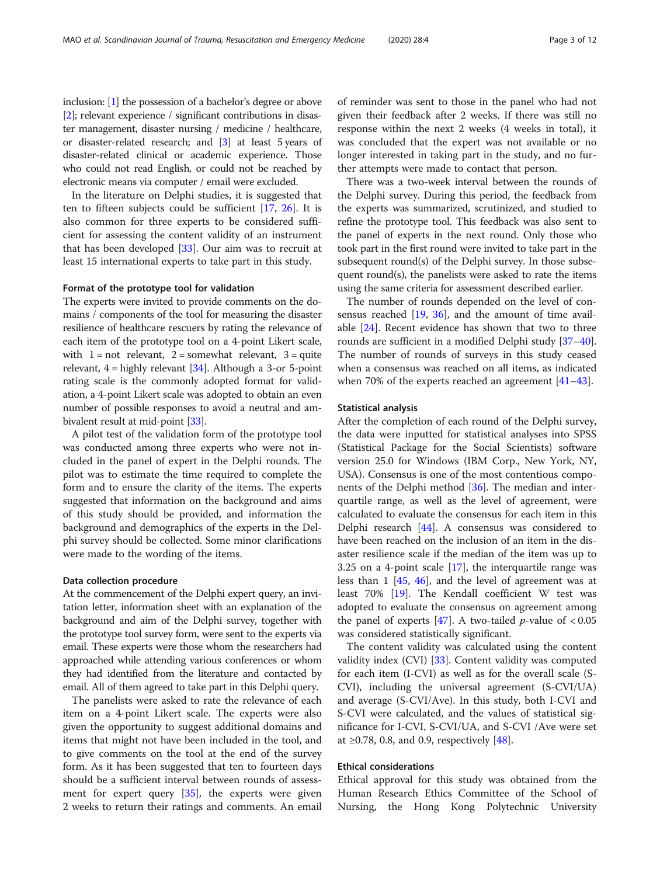inclusion: [\[1\]](#page-10-0) the possession of a bachelor's degree or above [[2](#page-10-0)]; relevant experience / significant contributions in disaster management, disaster nursing / medicine / healthcare, or disaster-related research; and [[3](#page-10-0)] at least 5 years of disaster-related clinical or academic experience. Those who could not read English, or could not be reached by electronic means via computer / email were excluded.

In the literature on Delphi studies, it is suggested that ten to fifteen subjects could be sufficient [\[17,](#page-10-0) [26](#page-10-0)]. It is also common for three experts to be considered sufficient for assessing the content validity of an instrument that has been developed [\[33\]](#page-10-0). Our aim was to recruit at least 15 international experts to take part in this study.

## Format of the prototype tool for validation

The experts were invited to provide comments on the domains / components of the tool for measuring the disaster resilience of healthcare rescuers by rating the relevance of each item of the prototype tool on a 4-point Likert scale, with  $1 = not$  relevant,  $2 =$  somewhat relevant,  $3 = quite$ relevant,  $4 =$  highly relevant  $[34]$ . Although a 3-or 5-point rating scale is the commonly adopted format for validation, a 4-point Likert scale was adopted to obtain an even number of possible responses to avoid a neutral and ambivalent result at mid-point [[33](#page-10-0)].

A pilot test of the validation form of the prototype tool was conducted among three experts who were not included in the panel of expert in the Delphi rounds. The pilot was to estimate the time required to complete the form and to ensure the clarity of the items. The experts suggested that information on the background and aims of this study should be provided, and information the background and demographics of the experts in the Delphi survey should be collected. Some minor clarifications were made to the wording of the items.

### Data collection procedure

At the commencement of the Delphi expert query, an invitation letter, information sheet with an explanation of the background and aim of the Delphi survey, together with the prototype tool survey form, were sent to the experts via email. These experts were those whom the researchers had approached while attending various conferences or whom they had identified from the literature and contacted by email. All of them agreed to take part in this Delphi query.

The panelists were asked to rate the relevance of each item on a 4-point Likert scale. The experts were also given the opportunity to suggest additional domains and items that might not have been included in the tool, and to give comments on the tool at the end of the survey form. As it has been suggested that ten to fourteen days should be a sufficient interval between rounds of assessment for expert query [[35\]](#page-10-0), the experts were given 2 weeks to return their ratings and comments. An email

of reminder was sent to those in the panel who had not given their feedback after 2 weeks. If there was still no response within the next 2 weeks (4 weeks in total), it was concluded that the expert was not available or no longer interested in taking part in the study, and no further attempts were made to contact that person.

There was a two-week interval between the rounds of the Delphi survey. During this period, the feedback from the experts was summarized, scrutinized, and studied to refine the prototype tool. This feedback was also sent to the panel of experts in the next round. Only those who took part in the first round were invited to take part in the subsequent round(s) of the Delphi survey. In those subsequent round(s), the panelists were asked to rate the items using the same criteria for assessment described earlier.

The number of rounds depended on the level of consensus reached  $[19, 36]$  $[19, 36]$  $[19, 36]$  $[19, 36]$  $[19, 36]$ , and the amount of time available [\[24](#page-10-0)]. Recent evidence has shown that two to three rounds are sufficient in a modified Delphi study [[37](#page-10-0)–[40](#page-10-0)]. The number of rounds of surveys in this study ceased when a consensus was reached on all items, as indicated when 70% of the experts reached an agreement [[41](#page-10-0)–[43](#page-10-0)].

#### Statistical analysis

After the completion of each round of the Delphi survey, the data were inputted for statistical analyses into SPSS (Statistical Package for the Social Scientists) software version 25.0 for Windows (IBM Corp., New York, NY, USA). Consensus is one of the most contentious components of the Delphi method [[36\]](#page-10-0). The median and interquartile range, as well as the level of agreement, were calculated to evaluate the consensus for each item in this Delphi research [\[44\]](#page-10-0). A consensus was considered to have been reached on the inclusion of an item in the disaster resilience scale if the median of the item was up to 3.25 on a 4-point scale [[17](#page-10-0)], the interquartile range was less than 1 [\[45](#page-10-0), [46](#page-10-0)], and the level of agreement was at least 70% [[19\]](#page-10-0). The Kendall coefficient W test was adopted to evaluate the consensus on agreement among the panel of experts  $[47]$  $[47]$ . A two-tailed *p*-value of < 0.05 was considered statistically significant.

The content validity was calculated using the content validity index (CVI) [\[33\]](#page-10-0). Content validity was computed for each item (I-CVI) as well as for the overall scale (S-CVI), including the universal agreement (S-CVI/UA) and average (S-CVI/Ave). In this study, both I-CVI and S-CVI were calculated, and the values of statistical significance for I-CVI, S-CVI/UA, and S-CVI /Ave were set at ≥0.78, 0.8, and 0.9, respectively  $[48]$  $[48]$ .

## Ethical considerations

Ethical approval for this study was obtained from the Human Research Ethics Committee of the School of Nursing, the Hong Kong Polytechnic University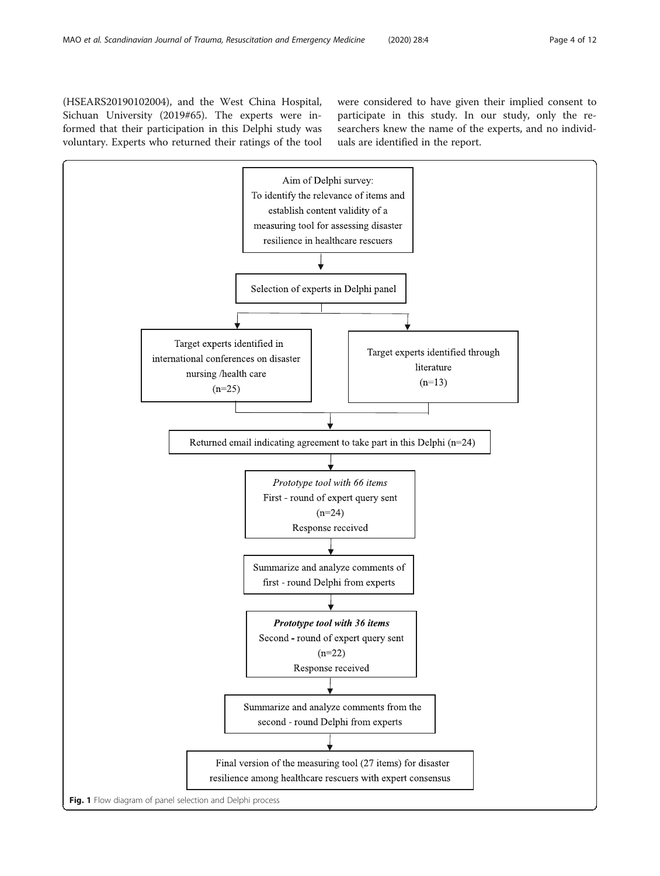<span id="page-3-0"></span>(HSEARS20190102004), and the West China Hospital, Sichuan University (2019#65). The experts were informed that their participation in this Delphi study was voluntary. Experts who returned their ratings of the tool were considered to have given their implied consent to participate in this study. In our study, only the researchers knew the name of the experts, and no individuals are identified in the report.

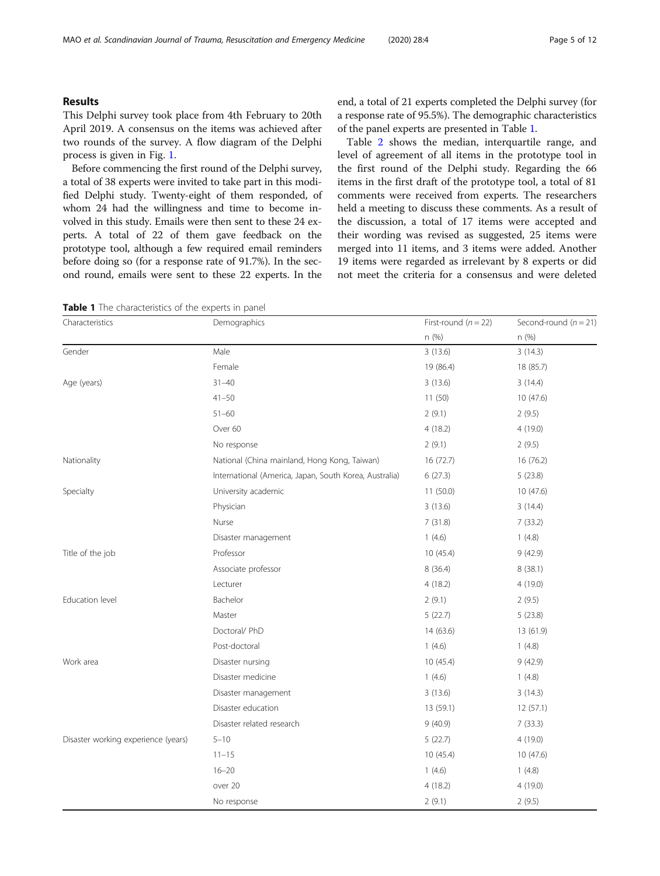## Results

This Delphi survey took place from 4th February to 20th April 2019. A consensus on the items was achieved after two rounds of the survey. A flow diagram of the Delphi process is given in Fig. [1](#page-3-0).

Before commencing the first round of the Delphi survey, a total of 38 experts were invited to take part in this modified Delphi study. Twenty-eight of them responded, of whom 24 had the willingness and time to become involved in this study. Emails were then sent to these 24 experts. A total of 22 of them gave feedback on the prototype tool, although a few required email reminders before doing so (for a response rate of 91.7%). In the second round, emails were sent to these 22 experts. In the

| Table 1 The characteristics of the experts in panel |
|-----------------------------------------------------|
|-----------------------------------------------------|

end, a total of 21 experts completed the Delphi survey (for a response rate of 95.5%). The demographic characteristics of the panel experts are presented in Table 1.

Table [2](#page-5-0) shows the median, interquartile range, and level of agreement of all items in the prototype tool in the first round of the Delphi study. Regarding the 66 items in the first draft of the prototype tool, a total of 81 comments were received from experts. The researchers held a meeting to discuss these comments. As a result of the discussion, a total of 17 items were accepted and their wording was revised as suggested, 25 items were merged into 11 items, and 3 items were added. Another 19 items were regarded as irrelevant by 8 experts or did not meet the criteria for a consensus and were deleted

| Characteristics                     | Demographics                                           | First-round $(n = 22)$ | Second-round $(n = 21)$ |
|-------------------------------------|--------------------------------------------------------|------------------------|-------------------------|
|                                     |                                                        | n (%)                  | n (%)                   |
| Gender                              | Male                                                   | 3(13.6)                | 3(14.3)                 |
|                                     | Female                                                 | 19 (86.4)              | 18 (85.7)               |
| Age (years)                         | $31 - 40$                                              | 3(13.6)                | 3(14.4)                 |
|                                     | $41 - 50$                                              | 11(50)                 | 10(47.6)                |
|                                     | $51 - 60$                                              | 2(9.1)                 | 2(9.5)                  |
|                                     | Over 60                                                | 4(18.2)                | 4 (19.0)                |
|                                     | No response                                            | 2(9.1)                 | 2(9.5)                  |
| Nationality                         | National (China mainland, Hong Kong, Taiwan)           | 16(72.7)               | 16 (76.2)               |
|                                     | International (America, Japan, South Korea, Australia) | 6(27.3)                | 5(23.8)                 |
| Specialty                           | University academic                                    | 11(50.0)               | 10(47.6)                |
|                                     | Physician                                              | 3(13.6)                | 3(14.4)                 |
|                                     | Nurse                                                  | 7(31.8)                | 7(33.2)                 |
|                                     | Disaster management                                    | 1(4.6)                 | 1(4.8)                  |
| Title of the job                    | Professor                                              | 10(45.4)               | 9(42.9)                 |
|                                     | Associate professor                                    | 8 (36.4)               | 8(38.1)                 |
|                                     | Lecturer                                               | 4(18.2)                | 4(19.0)                 |
| Education level                     | Bachelor                                               | 2(9.1)                 | 2(9.5)                  |
|                                     | Master                                                 | 5(22.7)                | 5(23.8)                 |
|                                     | Doctoral/ PhD                                          | 14(63.6)               | 13 (61.9)               |
|                                     | Post-doctoral                                          | 1(4.6)                 | 1(4.8)                  |
| Work area                           | Disaster nursing                                       | 10(45.4)               | 9(42.9)                 |
|                                     | Disaster medicine                                      | 1(4.6)                 | 1(4.8)                  |
|                                     | Disaster management                                    | 3(13.6)                | 3(14.3)                 |
|                                     | Disaster education                                     | 13 (59.1)              | 12(57.1)                |
|                                     | Disaster related research                              | 9(40.9)                | 7(33.3)                 |
| Disaster working experience (years) | $5 - 10$                                               | 5(22.7)                | 4(19.0)                 |
|                                     | $11 - 15$                                              | 10(45.4)               | 10(47.6)                |
|                                     | $16 - 20$                                              | 1(4.6)                 | 1(4.8)                  |
|                                     | over 20                                                | 4(18.2)                | 4(19.0)                 |
|                                     | No response                                            | 2(9.1)                 | 2(9.5)                  |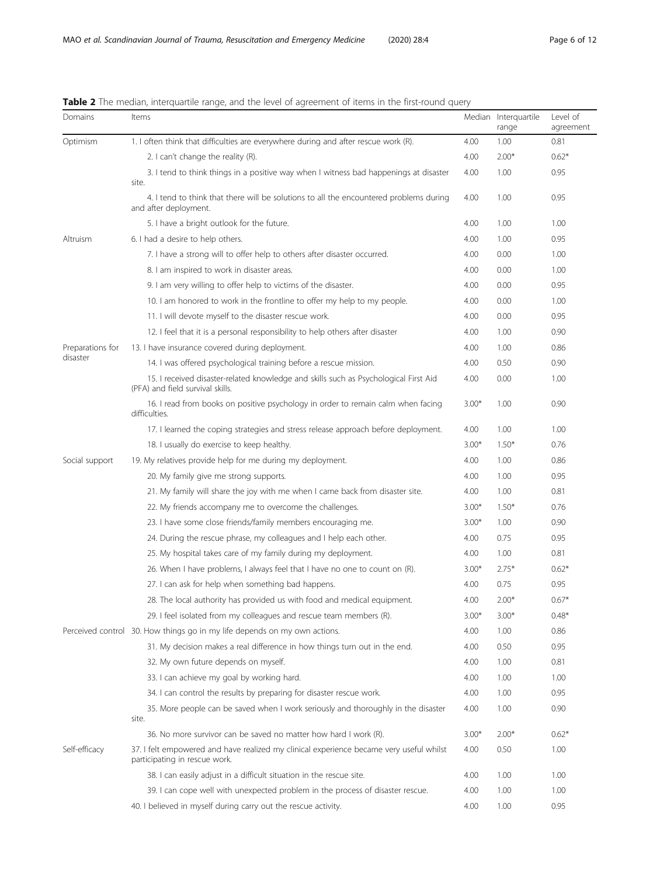| Domains          | <b>WHO</b> internetionly intergration range, and the rever or agreement or items in the mst roand gaer,<br>Items         |         | Median Interquartile<br>range | Level of<br>agreement |
|------------------|--------------------------------------------------------------------------------------------------------------------------|---------|-------------------------------|-----------------------|
| Optimism         | 1. I often think that difficulties are everywhere during and after rescue work (R).                                      | 4.00    | 1.00                          | 0.81                  |
|                  | 2. I can't change the reality (R).                                                                                       | 4.00    | $2.00*$                       | $0.62*$               |
|                  | 3. I tend to think things in a positive way when I witness bad happenings at disaster<br>site.                           | 4.00    | 1.00                          | 0.95                  |
|                  | 4. I tend to think that there will be solutions to all the encountered problems during<br>and after deployment.          | 4.00    | 1.00                          | 0.95                  |
|                  | 5. I have a bright outlook for the future.                                                                               | 4.00    | 1.00                          | 1.00                  |
| Altruism         | 6. I had a desire to help others.                                                                                        | 4.00    | 1.00                          | 0.95                  |
|                  | 7. I have a strong will to offer help to others after disaster occurred.                                                 | 4.00    | 0.00                          | 1.00                  |
|                  | 8. I am inspired to work in disaster areas.                                                                              | 4.00    | 0.00                          | 1.00                  |
|                  | 9. I am very willing to offer help to victims of the disaster.                                                           | 4.00    | 0.00                          | 0.95                  |
|                  | 10. I am honored to work in the frontline to offer my help to my people.                                                 | 4.00    | 0.00                          | 1.00                  |
|                  | 11. I will devote myself to the disaster rescue work.                                                                    | 4.00    | 0.00                          | 0.95                  |
|                  | 12. I feel that it is a personal responsibility to help others after disaster                                            | 4.00    | 1.00                          | 0.90                  |
| Preparations for | 13. I have insurance covered during deployment.                                                                          | 4.00    | 1.00                          | 0.86                  |
| disaster         | 14. I was offered psychological training before a rescue mission.                                                        | 4.00    | 0.50                          | 0.90                  |
|                  | 15. I received disaster-related knowledge and skills such as Psychological First Aid<br>(PFA) and field survival skills. | 4.00    | 0.00                          | 1.00                  |
|                  | 16. I read from books on positive psychology in order to remain calm when facing<br>difficulties.                        | $3.00*$ | 1.00                          | 0.90                  |
|                  | 17. I learned the coping strategies and stress release approach before deployment.                                       | 4.00    | 1.00                          | 1.00                  |
|                  | 18. I usually do exercise to keep healthy.                                                                               | $3.00*$ | $1.50*$                       | 0.76                  |
| Social support   | 19. My relatives provide help for me during my deployment.                                                               | 4.00    | 1.00                          | 0.86                  |
|                  | 20. My family give me strong supports.                                                                                   | 4.00    | 1.00                          | 0.95                  |
|                  | 21. My family will share the joy with me when I came back from disaster site.                                            | 4.00    | 1.00                          | 0.81                  |
|                  | 22. My friends accompany me to overcome the challenges.                                                                  | $3.00*$ | $1.50*$                       | 0.76                  |
|                  | 23. I have some close friends/family members encouraging me.                                                             | $3.00*$ | 1.00                          | 0.90                  |
|                  | 24. During the rescue phrase, my colleagues and I help each other.                                                       | 4.00    | 0.75                          | 0.95                  |
|                  | 25. My hospital takes care of my family during my deployment.                                                            | 4.00    | 1.00                          | 0.81                  |
|                  | 26. When I have problems, I always feel that I have no one to count on (R).                                              | $3.00*$ | $2.75*$                       | $0.62*$               |
|                  | 27. I can ask for help when something bad happens.                                                                       | 4.00    | 0.75                          | 0.95                  |
|                  | 28. The local authority has provided us with food and medical equipment.                                                 | 4.00    | $2.00*$                       | $0.67*$               |
|                  | 29. I feel isolated from my colleagues and rescue team members (R).                                                      | $3.00*$ | $3.00*$                       | $0.48*$               |
|                  | Perceived control 30. How things go in my life depends on my own actions.                                                | 4.00    | 1.00                          | 0.86                  |
|                  | 31. My decision makes a real difference in how things turn out in the end.                                               | 4.00    | 0.50                          | 0.95                  |
|                  | 32. My own future depends on myself.                                                                                     | 4.00    | 1.00                          | 0.81                  |
|                  | 33. I can achieve my goal by working hard.                                                                               | 4.00    | 1.00                          | 1.00                  |
|                  | 34. I can control the results by preparing for disaster rescue work.                                                     | 4.00    | 1.00                          | 0.95                  |
|                  | 35. More people can be saved when I work seriously and thoroughly in the disaster<br>site.                               | 4.00    | 1.00                          | 0.90                  |
|                  | 36. No more survivor can be saved no matter how hard I work (R).                                                         | $3.00*$ | $2.00*$                       | $0.62*$               |
| Self-efficacy    | 37. I felt empowered and have realized my clinical experience became very useful whilst<br>participating in rescue work. | 4.00    | 0.50                          | 1.00                  |
|                  | 38. I can easily adjust in a difficult situation in the rescue site.                                                     | 4.00    | 1.00                          | 1.00                  |
|                  | 39. I can cope well with unexpected problem in the process of disaster rescue.                                           | 4.00    | 1.00                          | 1.00                  |
|                  | 40. I believed in myself during carry out the rescue activity.                                                           | 4.00    | 1.00                          | 0.95                  |

<span id="page-5-0"></span>

|  | Table 2 The median, interquartile range, and the level of agreement of items in the first-round query |  |
|--|-------------------------------------------------------------------------------------------------------|--|
|  |                                                                                                       |  |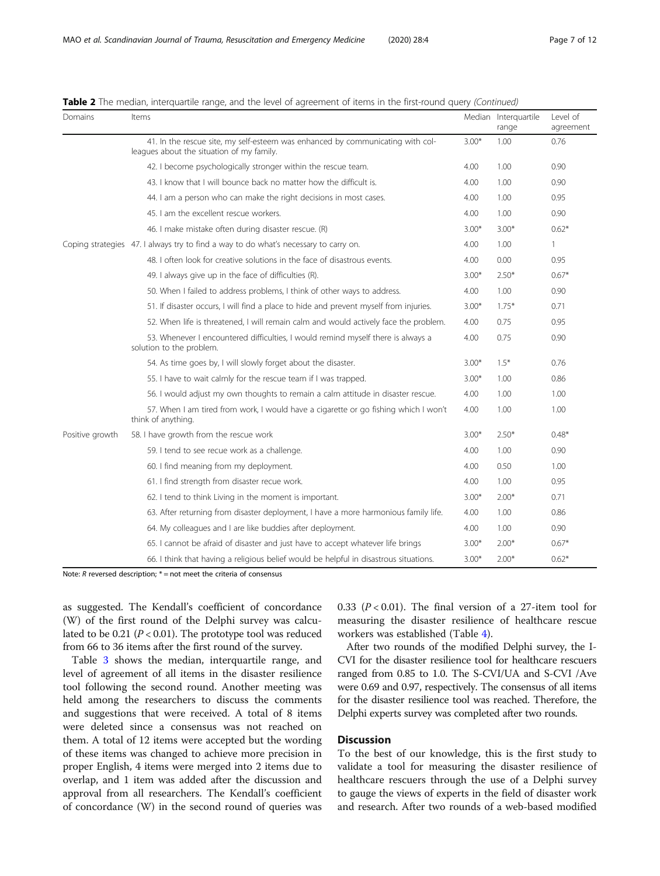| Domains         | Items                                                                                                                       |         | Median Interquartile<br>range | Level of<br>agreement |
|-----------------|-----------------------------------------------------------------------------------------------------------------------------|---------|-------------------------------|-----------------------|
|                 | 41. In the rescue site, my self-esteem was enhanced by communicating with col-<br>leagues about the situation of my family. | $3.00*$ | 1.00                          | 0.76                  |
|                 | 42. I become psychologically stronger within the rescue team.                                                               | 4.00    | 1.00                          | 0.90                  |
|                 | 43. I know that I will bounce back no matter how the difficult is.                                                          | 4.00    | 1.00                          | 0.90                  |
|                 | 44. I am a person who can make the right decisions in most cases.                                                           | 4.00    | 1.00                          | 0.95                  |
|                 | 45. Lam the excellent rescue workers.                                                                                       | 4.00    | 1.00                          | 0.90                  |
|                 | 46. I make mistake often during disaster rescue. (R)                                                                        | $3.00*$ | $3.00*$                       | $0.62*$               |
|                 | Coping strategies 47. I always try to find a way to do what's necessary to carry on.                                        | 4.00    | 1.00                          | $\mathbf{1}$          |
|                 | 48. I often look for creative solutions in the face of disastrous events.                                                   | 4.00    | 0.00                          | 0.95                  |
|                 | 49. I always give up in the face of difficulties (R).                                                                       | $3.00*$ | $2.50*$                       | $0.67*$               |
|                 | 50. When I failed to address problems, I think of other ways to address.                                                    | 4.00    | 1.00                          | 0.90                  |
|                 | 51. If disaster occurs, I will find a place to hide and prevent myself from injuries.                                       | $3.00*$ | $1.75*$                       | 0.71                  |
|                 | 52. When life is threatened, I will remain calm and would actively face the problem.                                        | 4.00    | 0.75                          | 0.95                  |
|                 | 53. Whenever I encountered difficulties, I would remind myself there is always a<br>solution to the problem.                | 4.00    | 0.75                          | 0.90                  |
|                 | 54. As time goes by, I will slowly forget about the disaster.                                                               | $3.00*$ | $1.5*$                        | 0.76                  |
|                 | 55. I have to wait calmly for the rescue team if I was trapped.                                                             | $3.00*$ | 1.00                          | 0.86                  |
|                 | 56. I would adjust my own thoughts to remain a calm attitude in disaster rescue.                                            | 4.00    | 1.00                          | 1.00                  |
|                 | 57. When I am tired from work, I would have a cigarette or go fishing which I won't<br>think of anything.                   | 4.00    | 1.00                          | 1.00                  |
| Positive growth | 58. I have growth from the rescue work                                                                                      | $3.00*$ | $2.50*$                       | $0.48*$               |
|                 | 59. I tend to see recue work as a challenge.                                                                                | 4.00    | 1.00                          | 0.90                  |
|                 | 60. I find meaning from my deployment.                                                                                      | 4.00    | 0.50                          | 1.00                  |
|                 | 61. I find strength from disaster recue work.                                                                               | 4.00    | 1.00                          | 0.95                  |
|                 | 62. I tend to think Living in the moment is important.                                                                      | $3.00*$ | $2.00*$                       | 0.71                  |
|                 | 63. After returning from disaster deployment, I have a more harmonious family life.                                         | 4.00    | 1.00                          | 0.86                  |
|                 | 64. My colleagues and I are like buddies after deployment.                                                                  | 4.00    | 1.00                          | 0.90                  |
|                 | 65. I cannot be afraid of disaster and just have to accept whatever life brings                                             | $3.00*$ | $2.00*$                       | $0.67*$               |
|                 | 66. I think that having a religious belief would be helpful in disastrous situations.                                       | $3.00*$ | $2.00*$                       | $0.62*$               |

Table 2 The median, interquartile range, and the level of agreement of items in the first-round query (Continued)

Note:  $R$  reversed description;  $* =$  not meet the criteria of consensus

as suggested. The Kendall's coefficient of concordance (W) of the first round of the Delphi survey was calculated to be 0.21 ( $P < 0.01$ ). The prototype tool was reduced from 66 to 36 items after the first round of the survey.

Table [3](#page-7-0) shows the median, interquartile range, and level of agreement of all items in the disaster resilience tool following the second round. Another meeting was held among the researchers to discuss the comments and suggestions that were received. A total of 8 items were deleted since a consensus was not reached on them. A total of 12 items were accepted but the wording of these items was changed to achieve more precision in proper English, 4 items were merged into 2 items due to overlap, and 1 item was added after the discussion and approval from all researchers. The Kendall's coefficient of concordance (W) in the second round of queries was 0.33 ( $P < 0.01$ ). The final version of a 27-item tool for measuring the disaster resilience of healthcare rescue workers was established (Table [4\)](#page-8-0).

After two rounds of the modified Delphi survey, the I-CVI for the disaster resilience tool for healthcare rescuers ranged from 0.85 to 1.0. The S-CVI/UA and S-CVI /Ave were 0.69 and 0.97, respectively. The consensus of all items for the disaster resilience tool was reached. Therefore, the Delphi experts survey was completed after two rounds.

## **Discussion**

To the best of our knowledge, this is the first study to validate a tool for measuring the disaster resilience of healthcare rescuers through the use of a Delphi survey to gauge the views of experts in the field of disaster work and research. After two rounds of a web-based modified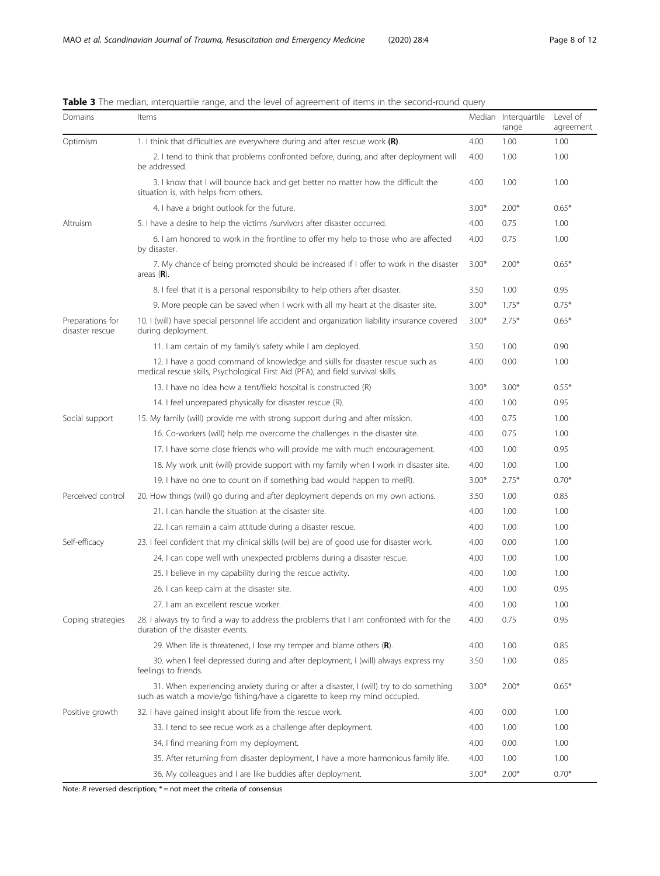| Domains                             | Items                                                                                                                                                                 |         | Median Interquartile<br>range | Level of<br>agreement |
|-------------------------------------|-----------------------------------------------------------------------------------------------------------------------------------------------------------------------|---------|-------------------------------|-----------------------|
| Optimism                            | 1. I think that difficulties are everywhere during and after rescue work $(R)$ .                                                                                      | 4.00    | 1.00                          | 1.00                  |
|                                     | 2. I tend to think that problems confronted before, during, and after deployment will<br>be addressed.                                                                | 4.00    | 1.00                          | 1.00                  |
|                                     | 3. I know that I will bounce back and get better no matter how the difficult the<br>situation is, with helps from others.                                             | 4.00    | 1.00                          | 1.00                  |
|                                     | 4. I have a bright outlook for the future.                                                                                                                            | $3.00*$ | $2.00*$                       | $0.65*$               |
| Altruism                            | 5. I have a desire to help the victims /survivors after disaster occurred.                                                                                            | 4.00    | 0.75                          | 1.00                  |
|                                     | 6. I am honored to work in the frontline to offer my help to those who are affected<br>by disaster.                                                                   | 4.00    | 0.75                          | 1.00                  |
|                                     | 7. My chance of being promoted should be increased if I offer to work in the disaster<br>areas $(R)$ .                                                                | $3.00*$ | $2.00*$                       | $0.65*$               |
|                                     | 8. I feel that it is a personal responsibility to help others after disaster.                                                                                         | 3.50    | 1.00                          | 0.95                  |
|                                     | 9. More people can be saved when I work with all my heart at the disaster site.                                                                                       | $3.00*$ | $1.75*$                       | $0.75*$               |
| Preparations for<br>disaster rescue | 10. I (will) have special personnel life accident and organization liability insurance covered<br>during deployment.                                                  | $3.00*$ | $2.75*$                       | $0.65*$               |
|                                     | 11. I am certain of my family's safety while I am deployed.                                                                                                           | 3.50    | 1.00                          | 0.90                  |
|                                     | 12. I have a good command of knowledge and skills for disaster rescue such as<br>medical rescue skills, Psychological First Aid (PFA), and field survival skills.     | 4.00    | 0.00                          | 1.00                  |
|                                     | 13. I have no idea how a tent/field hospital is constructed (R)                                                                                                       | $3.00*$ | $3.00*$                       | $0.55*$               |
|                                     | 14. I feel unprepared physically for disaster rescue (R).                                                                                                             | 4.00    | 1.00                          | 0.95                  |
| Social support                      | 15. My family (will) provide me with strong support during and after mission.                                                                                         | 4.00    | 0.75                          | 1.00                  |
|                                     | 16. Co-workers (will) help me overcome the challenges in the disaster site.                                                                                           | 4.00    | 0.75                          | 1.00                  |
|                                     | 17. I have some close friends who will provide me with much encouragement.                                                                                            | 4.00    | 1.00                          | 0.95                  |
|                                     | 18. My work unit (will) provide support with my family when I work in disaster site.                                                                                  | 4.00    | 1.00                          | 1.00                  |
|                                     | 19. I have no one to count on if something bad would happen to me(R).                                                                                                 | $3.00*$ | $2.75*$                       | $0.70*$               |
| Perceived control                   | 20. How things (will) go during and after deployment depends on my own actions.                                                                                       | 3.50    | 1.00                          | 0.85                  |
|                                     | 21. I can handle the situation at the disaster site.                                                                                                                  | 4.00    | 1.00                          | 1.00                  |
|                                     | 22. I can remain a calm attitude during a disaster rescue.                                                                                                            | 4.00    | 1.00                          | 1.00                  |
| Self-efficacy                       | 23. I feel confident that my clinical skills (will be) are of good use for disaster work.                                                                             | 4.00    | 0.00                          | 1.00                  |
|                                     | 24. I can cope well with unexpected problems during a disaster rescue.                                                                                                | 4.00    | 1.00                          | 1.00                  |
|                                     | 25. I believe in my capability during the rescue activity.                                                                                                            | 4.00    | 1.00                          | 1.00                  |
|                                     | 26. I can keep calm at the disaster site.                                                                                                                             | 4.00    | 1.00                          | 0.95                  |
|                                     | 27. I am an excellent rescue worker.                                                                                                                                  | 4.00    | 1.00                          | 1.00                  |
| Coping strategies                   | 28. I always try to find a way to address the problems that I am confronted with for the<br>duration of the disaster events.                                          | 4.00    | 0.75                          | 0.95                  |
|                                     | 29. When life is threatened, I lose my temper and blame others $(R)$ .                                                                                                | 4.00    | 1.00                          | 0.85                  |
|                                     | 30. when I feel depressed during and after deployment, I (will) always express my<br>feelings to friends.                                                             | 3.50    | 1.00                          | 0.85                  |
|                                     | 31. When experiencing anxiety during or after a disaster, I (will) try to do something<br>such as watch a movie/go fishing/have a cigarette to keep my mind occupied. | $3.00*$ | $2.00*$                       | $0.65*$               |
| Positive growth                     | 32. I have gained insight about life from the rescue work.                                                                                                            | 4.00    | 0.00                          | 1.00                  |
|                                     | 33. I tend to see recue work as a challenge after deployment.                                                                                                         | 4.00    | 1.00                          | 1.00                  |
|                                     | 34. I find meaning from my deployment.                                                                                                                                | 4.00    | 0.00                          | 1.00                  |
|                                     | 35. After returning from disaster deployment, I have a more harmonious family life.                                                                                   | 4.00    | 1.00                          | 1.00                  |
|                                     | 36. My colleagues and I are like buddies after deployment.                                                                                                            | $3.00*$ | $2.00*$                       | $0.70*$               |

<span id="page-7-0"></span>

|  | Table 3 The median, interguartile range, and the level of agreement of items in the second-round guery |  |
|--|--------------------------------------------------------------------------------------------------------|--|
|  |                                                                                                        |  |

Note:  $R$  reversed description;  $* =$  not meet the criteria of consensus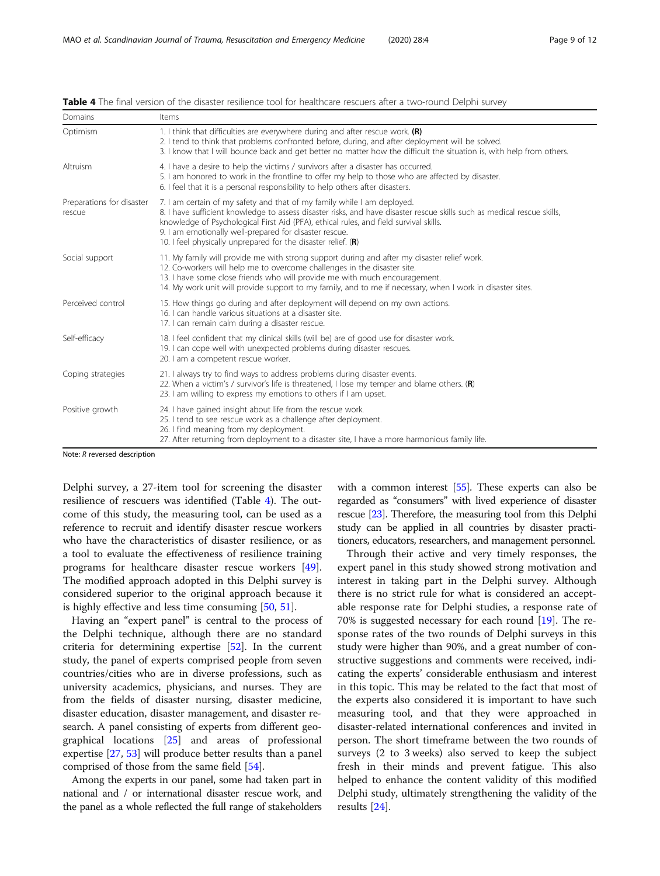| Domains                             | Items                                                                                                                                                                                                                                                                                                                                                                                                                    |  |
|-------------------------------------|--------------------------------------------------------------------------------------------------------------------------------------------------------------------------------------------------------------------------------------------------------------------------------------------------------------------------------------------------------------------------------------------------------------------------|--|
| Optimism                            | 1. I think that difficulties are everywhere during and after rescue work. $(R)$<br>2. I tend to think that problems confronted before, during, and after deployment will be solved.<br>3. I know that I will bounce back and get better no matter how the difficult the situation is, with help from others.                                                                                                             |  |
| Altruism                            | 4. I have a desire to help the victims / survivors after a disaster has occurred.<br>5. I am honored to work in the frontline to offer my help to those who are affected by disaster.<br>6. I feel that it is a personal responsibility to help others after disasters.                                                                                                                                                  |  |
| Preparations for disaster<br>rescue | 7. I am certain of my safety and that of my family while I am deployed.<br>8. I have sufficient knowledge to assess disaster risks, and have disaster rescue skills such as medical rescue skills,<br>knowledge of Psychological First Aid (PFA), ethical rules, and field survival skills.<br>9. I am emotionally well-prepared for disaster rescue.<br>10. I feel physically unprepared for the disaster relief. $(R)$ |  |
| Social support                      | 11. My family will provide me with strong support during and after my disaster relief work.<br>12. Co-workers will help me to overcome challenges in the disaster site.<br>13. I have some close friends who will provide me with much encouragement.<br>14. My work unit will provide support to my family, and to me if necessary, when I work in disaster sites.                                                      |  |
| Perceived control                   | 15. How things go during and after deployment will depend on my own actions.<br>16. I can handle various situations at a disaster site.<br>17. I can remain calm during a disaster rescue.                                                                                                                                                                                                                               |  |
| Self-efficacy                       | 18. I feel confident that my clinical skills (will be) are of good use for disaster work.<br>19. I can cope well with unexpected problems during disaster rescues.<br>20. I am a competent rescue worker.                                                                                                                                                                                                                |  |
| Coping strategies                   | 21. I always try to find ways to address problems during disaster events.<br>22. When a victim's / survivor's life is threatened, I lose my temper and blame others. $(R)$<br>23. I am willing to express my emotions to others if I am upset.                                                                                                                                                                           |  |
| Positive growth                     | 24. I have gained insight about life from the rescue work.<br>25. I tend to see rescue work as a challenge after deployment.<br>26. I find meaning from my deployment.<br>27. After returning from deployment to a disaster site, I have a more harmonious family life.                                                                                                                                                  |  |
| Note: $R$ reversed description      |                                                                                                                                                                                                                                                                                                                                                                                                                          |  |

<span id="page-8-0"></span>Table 4 The final version of the disaster resilience tool for healthcare rescuers after a two-round Delphi survey

Note: R reversed description

Delphi survey, a 27-item tool for screening the disaster resilience of rescuers was identified (Table 4). The outcome of this study, the measuring tool, can be used as a reference to recruit and identify disaster rescue workers who have the characteristics of disaster resilience, or as a tool to evaluate the effectiveness of resilience training programs for healthcare disaster rescue workers [\[49](#page-10-0)]. The modified approach adopted in this Delphi survey is considered superior to the original approach because it is highly effective and less time consuming [[50,](#page-10-0) [51\]](#page-10-0).

Having an "expert panel" is central to the process of the Delphi technique, although there are no standard criteria for determining expertise [[52\]](#page-10-0). In the current study, the panel of experts comprised people from seven countries/cities who are in diverse professions, such as university academics, physicians, and nurses. They are from the fields of disaster nursing, disaster medicine, disaster education, disaster management, and disaster research. A panel consisting of experts from different geographical locations [[25\]](#page-10-0) and areas of professional expertise [\[27](#page-10-0), [53\]](#page-10-0) will produce better results than a panel comprised of those from the same field [[54\]](#page-10-0).

Among the experts in our panel, some had taken part in national and / or international disaster rescue work, and the panel as a whole reflected the full range of stakeholders with a common interest [[55](#page-11-0)]. These experts can also be regarded as "consumers" with lived experience of disaster rescue [\[23\]](#page-10-0). Therefore, the measuring tool from this Delphi study can be applied in all countries by disaster practitioners, educators, researchers, and management personnel.

Through their active and very timely responses, the expert panel in this study showed strong motivation and interest in taking part in the Delphi survey. Although there is no strict rule for what is considered an acceptable response rate for Delphi studies, a response rate of 70% is suggested necessary for each round [[19](#page-10-0)]. The response rates of the two rounds of Delphi surveys in this study were higher than 90%, and a great number of constructive suggestions and comments were received, indicating the experts' considerable enthusiasm and interest in this topic. This may be related to the fact that most of the experts also considered it is important to have such measuring tool, and that they were approached in disaster-related international conferences and invited in person. The short timeframe between the two rounds of surveys (2 to 3 weeks) also served to keep the subject fresh in their minds and prevent fatigue. This also helped to enhance the content validity of this modified Delphi study, ultimately strengthening the validity of the results [[24](#page-10-0)].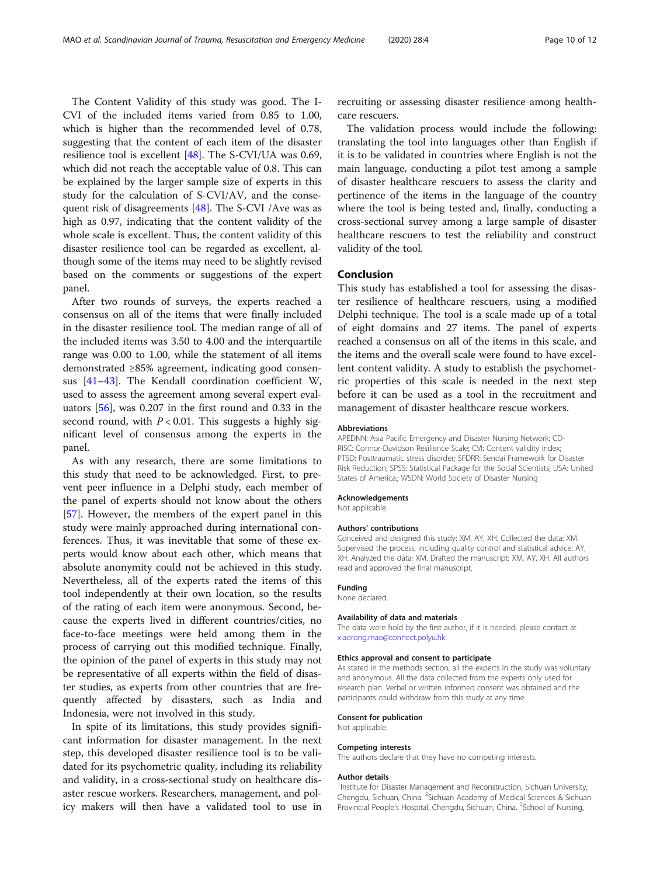The Content Validity of this study was good. The I-CVI of the included items varied from 0.85 to 1.00, which is higher than the recommended level of 0.78, suggesting that the content of each item of the disaster resilience tool is excellent [\[48](#page-10-0)]. The S-CVI/UA was 0.69, which did not reach the acceptable value of 0.8. This can be explained by the larger sample size of experts in this study for the calculation of S-CVI/AV, and the consequent risk of disagreements [\[48](#page-10-0)]. The S-CVI /Ave was as high as 0.97, indicating that the content validity of the whole scale is excellent. Thus, the content validity of this disaster resilience tool can be regarded as excellent, although some of the items may need to be slightly revised based on the comments or suggestions of the expert panel.

After two rounds of surveys, the experts reached a consensus on all of the items that were finally included in the disaster resilience tool. The median range of all of the included items was 3.50 to 4.00 and the interquartile range was 0.00 to 1.00, while the statement of all items demonstrated ≥85% agreement, indicating good consensus [\[41](#page-10-0)–[43\]](#page-10-0). The Kendall coordination coefficient W, used to assess the agreement among several expert evaluators [[56\]](#page-11-0), was 0.207 in the first round and 0.33 in the second round, with  $P < 0.01$ . This suggests a highly significant level of consensus among the experts in the panel.

As with any research, there are some limitations to this study that need to be acknowledged. First, to prevent peer influence in a Delphi study, each member of the panel of experts should not know about the others [[57\]](#page-11-0). However, the members of the expert panel in this study were mainly approached during international conferences. Thus, it was inevitable that some of these experts would know about each other, which means that absolute anonymity could not be achieved in this study. Nevertheless, all of the experts rated the items of this tool independently at their own location, so the results of the rating of each item were anonymous. Second, because the experts lived in different countries/cities, no face-to-face meetings were held among them in the process of carrying out this modified technique. Finally, the opinion of the panel of experts in this study may not be representative of all experts within the field of disaster studies, as experts from other countries that are frequently affected by disasters, such as India and Indonesia, were not involved in this study.

In spite of its limitations, this study provides significant information for disaster management. In the next step, this developed disaster resilience tool is to be validated for its psychometric quality, including its reliability and validity, in a cross-sectional study on healthcare disaster rescue workers. Researchers, management, and policy makers will then have a validated tool to use in

recruiting or assessing disaster resilience among healthcare rescuers.

The validation process would include the following: translating the tool into languages other than English if it is to be validated in countries where English is not the main language, conducting a pilot test among a sample of disaster healthcare rescuers to assess the clarity and pertinence of the items in the language of the country where the tool is being tested and, finally, conducting a cross-sectional survey among a large sample of disaster healthcare rescuers to test the reliability and construct validity of the tool.

## Conclusion

This study has established a tool for assessing the disaster resilience of healthcare rescuers, using a modified Delphi technique. The tool is a scale made up of a total of eight domains and 27 items. The panel of experts reached a consensus on all of the items in this scale, and the items and the overall scale were found to have excellent content validity. A study to establish the psychometric properties of this scale is needed in the next step before it can be used as a tool in the recruitment and management of disaster healthcare rescue workers.

#### Abbreviations

APEDNN: Asia Pacific Emergency and Disaster Nursing Network; CD-RISC: Connor-Davidson Resilience Scale; CVI: Content validity index; PTSD: Posttraumatic stress disorder; SFDRR: Sendai Framework for Disaster Risk Reduction; SPSS: Statistical Package for the Social Scientists; USA: United States of America.; WSDN: World Society of Disaster Nursing

#### Acknowledgements

Not applicable.

#### Authors' contributions

Conceived and designed this study: XM, AY, XH. Collected the data: XM. Supervised the process, including quality control and statistical advice: AY, XH. Analyzed the data: XM. Drafted the manuscript: XM, AY, XH. All authors read and approved the final manuscript.

#### Funding

None declared.

#### Availability of data and materials

The data were hold by the first author, if it is needed, please contact at [xiaorong.mao@connect.polyu.hk.](mailto:xiaorong.mao@connect.polyu.hk)

## Ethics approval and consent to participate

As stated in the methods section, all the experts in the study was voluntary and anonymous. All the data collected from the experts only used for research plan. Verbal or written informed consent was obtained and the participants could withdraw from this study at any time.

#### Consent for publication

Not applicable.

#### Competing interests

The authors declare that they have no competing interests.

#### Author details

<sup>1</sup>Institute for Disaster Management and Reconstruction, Sichuan University, Chengdu, Sichuan, China. <sup>2</sup>Sichuan Academy of Medical Sciences & Sichuan Provincial People's Hospital, Chengdu, Sichuan, China. <sup>3</sup>School of Nursing,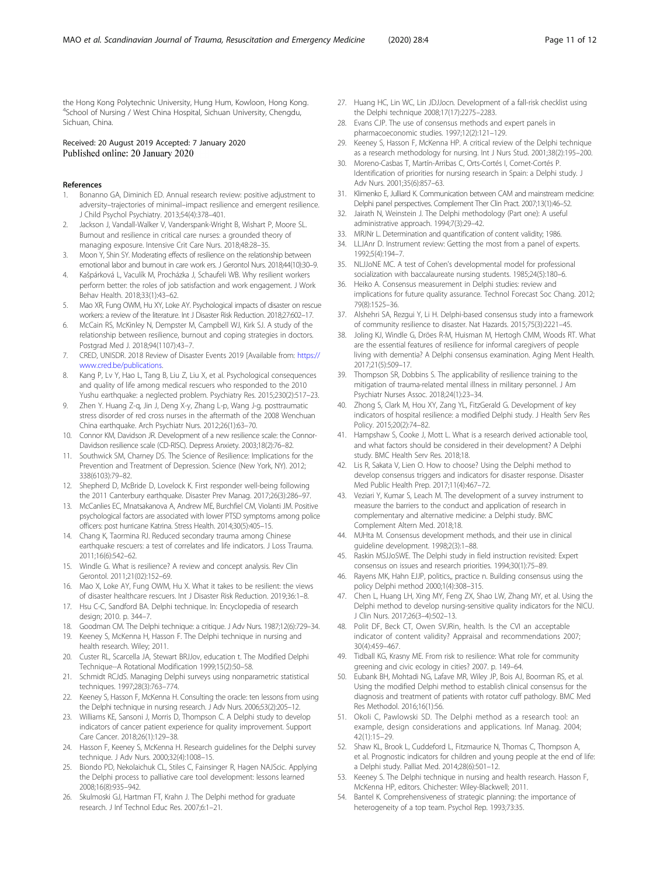<span id="page-10-0"></span>the Hong Kong Polytechnic University, Hung Hum, Kowloon, Hong Kong. 4 School of Nursing / West China Hospital, Sichuan University, Chengdu, Sichuan, China.

## Received: 20 August 2019 Accepted: 7 January 2020 Published online: 20 January 2020

#### References

- 1. Bonanno GA, Diminich ED. Annual research review: positive adjustment to adversity–trajectories of minimal–impact resilience and emergent resilience. J Child Psychol Psychiatry. 2013;54(4):378–401.
- 2. Jackson J, Vandall-Walker V, Vanderspank-Wright B, Wishart P, Moore SL. Burnout and resilience in critical care nurses: a grounded theory of managing exposure. Intensive Crit Care Nurs. 2018;48:28–35.
- 3. Moon Y, Shin SY. Moderating effects of resilience on the relationship between emotional labor and burnout in care work ers. J Gerontol Nurs. 2018;44(10):30–9.
- 4. Kašpárková L, Vaculík M, Procházka J, Schaufeli WB. Why resilient workers perform better: the roles of job satisfaction and work engagement. J Work Behav Health. 2018;33(1):43–62.
- 5. Mao XR, Fung OWM, Hu XY, Loke AY. Psychological impacts of disaster on rescue workers: a review of the literature. Int J Disaster Risk Reduction. 2018;27:602–17.
- 6. McCain RS, McKinley N, Dempster M, Campbell WJ, Kirk SJ. A study of the relationship between resilience, burnout and coping strategies in doctors. Postgrad Med J. 2018;94(1107):43–7.
- 7. CRED, UNISDR. 2018 Review of Disaster Events 2019 [Available from: [https://](https://www.cred.be/publications) [www.cred.be/publications](https://www.cred.be/publications).
- 8. Kang P, Lv Y, Hao L, Tang B, Liu Z, Liu X, et al. Psychological consequences and quality of life among medical rescuers who responded to the 2010 Yushu earthquake: a neglected problem. Psychiatry Res. 2015;230(2):517–23.
- Zhen Y. Huang Z-q, Jin J, Deng X-y, Zhang L-p, Wang J-g. posttraumatic stress disorder of red cross nurses in the aftermath of the 2008 Wenchuan China earthquake. Arch Psychiatr Nurs. 2012;26(1):63–70.
- 10. Connor KM, Davidson JR. Development of a new resilience scale: the Connor-Davidson resilience scale (CD-RISC). Depress Anxiety. 2003;18(2):76–82.
- 11. Southwick SM, Charney DS. The Science of Resilience: Implications for the Prevention and Treatment of Depression. Science (New York, NY). 2012; 338(6103):79–82.
- 12. Shepherd D, McBride D, Lovelock K. First responder well-being following the 2011 Canterbury earthquake. Disaster Prev Manag. 2017;26(3):286–97.
- 13. McCanlies EC, Mnatsakanova A, Andrew ME, Burchfiel CM, Violanti JM. Positive psychological factors are associated with lower PTSD symptoms among police officers: post hurricane Katrina. Stress Health. 2014;30(5):405–15.
- 14. Chang K, Taormina RJ. Reduced secondary trauma among Chinese earthquake rescuers: a test of correlates and life indicators. J Loss Trauma. 2011;16(6):542–62.
- 15. Windle G. What is resilience? A review and concept analysis. Rev Clin Gerontol. 2011;21(02):152–69.
- 16. Mao X, Loke AY, Fung OWM, Hu X. What it takes to be resilient: the views of disaster healthcare rescuers. Int J Disaster Risk Reduction. 2019;36:1–8.
- 17. Hsu C-C, Sandford BA. Delphi technique. In: Encyclopedia of research design; 2010. p. 344–7.
- 18. Goodman CM. The Delphi technique: a critique. J Adv Nurs. 1987;12(6):729–34.
- 19. Keeney S, McKenna H, Hasson F. The Delphi technique in nursing and health research. Wiley; 2011.
- 20. Custer RL, Scarcella JA, Stewart BRJJov, education t. The Modified Delphi Technique--A Rotational Modification 1999;15(2):50–58.
- 21. Schmidt RCJdS. Managing Delphi surveys using nonparametric statistical techniques. 1997;28(3):763–774.
- 22. Keeney S, Hasson F, McKenna H. Consulting the oracle: ten lessons from using the Delphi technique in nursing research. J Adv Nurs. 2006;53(2):205–12.
- 23. Williams KE, Sansoni J, Morris D, Thompson C. A Delphi study to develop indicators of cancer patient experience for quality improvement. Support Care Cancer. 2018;26(1):129–38.
- 24. Hasson F, Keeney S, McKenna H. Research guidelines for the Delphi survey technique. J Adv Nurs. 2000;32(4):1008–15.
- 25. Biondo PD, Nekolaichuk CL, Stiles C, Fainsinger R, Hagen NAJScic. Applying the Delphi process to palliative care tool development: lessons learned 2008;16(8):935–942.
- 26. Skulmoski GJ, Hartman FT, Krahn J. The Delphi method for graduate research. J Inf Technol Educ Res. 2007;6:1–21.
- 27. Huang HC, Lin WC, Lin JDJJocn. Development of a fall-risk checklist using the Delphi technique 2008;17(17):2275–2283.
- Evans CJP. The use of consensus methods and expert panels in pharmacoeconomic studies. 1997;12(2):121–129.
- 29. Keeney S, Hasson F, McKenna HP. A critical review of the Delphi technique as a research methodology for nursing. Int J Nurs Stud. 2001;38(2):195–200.
- 30. Moreno-Casbas T, Martín-Arribas C, Orts-Cortés I, Comet-Cortés P. Identification of priorities for nursing research in Spain: a Delphi study. J Adv Nurs. 2001;35(6):857–63.
- 31. Klimenko E, Julliard K. Communication between CAM and mainstream medicine: Delphi panel perspectives. Complement Ther Clin Pract. 2007;13(1):46–52.
- 32. Jairath N, Weinstein J. The Delphi methodology (Part one): A useful administrative approach. 1994;7(3):29–42.
- 33. MRJNr L. Determination and quantification of content validity; 1986.
- 34. LLJAnr D. Instrument review: Getting the most from a panel of experts. 1992;5(4):194–7.
- 35. NLJJoNE MC. A test of Cohen's developmental model for professional socialization with baccalaureate nursing students. 1985;24(5):180–6.
- 36. Heiko A. Consensus measurement in Delphi studies: review and implications for future quality assurance. Technol Forecast Soc Chang. 2012; 79(8):1525–36.
- 37. Alshehri SA, Rezgui Y, Li H. Delphi-based consensus study into a framework of community resilience to disaster. Nat Hazards. 2015;75(3):2221–45.
- 38. Joling KJ, Windle G, Dröes R-M, Huisman M, Hertogh CMM, Woods RT. What are the essential features of resilience for informal caregivers of people living with dementia? A Delphi consensus examination. Aging Ment Health. 2017;21(5):509–17.
- 39. Thompson SR, Dobbins S. The applicability of resilience training to the mitigation of trauma-related mental illness in military personnel. J Am Psychiatr Nurses Assoc. 2018;24(1):23–34.
- 40. Zhong S, Clark M, Hou XY, Zang YL, FitzGerald G. Development of key indicators of hospital resilience: a modified Delphi study. J Health Serv Res Policy. 2015;20(2):74–82.
- 41. Hampshaw S, Cooke J, Mott L. What is a research derived actionable tool, and what factors should be considered in their development? A Delphi study. BMC Health Serv Res. 2018;18.
- 42. Lis R, Sakata V, Lien O. How to choose? Using the Delphi method to develop consensus triggers and indicators for disaster response. Disaster Med Public Health Prep. 2017;11(4):467–72.
- 43. Veziari Y, Kumar S, Leach M. The development of a survey instrument to measure the barriers to the conduct and application of research in complementary and alternative medicine: a Delphi study. BMC Complement Altern Med. 2018;18.
- 44. MJHta M. Consensus development methods, and their use in clinical guideline development. 1998;2(3):1–88.
- 45. Raskin MSJJoSWE. The Delphi study in field instruction revisited: Expert consensus on issues and research priorities. 1994;30(1):75–89.
- 46. Rayens MK, Hahn EJJP, politics,, practice n. Building consensus using the policy Delphi method 2000;1(4):308–315.
- 47. Chen L, Huang LH, Xing MY, Feng ZX, Shao LW, Zhang MY, et al. Using the Delphi method to develop nursing-sensitive quality indicators for the NICU. J Clin Nurs. 2017;26(3–4):502–13.
- 48. Polit DF, Beck CT, Owen SVJRin, health. Is the CVI an acceptable indicator of content validity? Appraisal and recommendations 2007; 30(4):459–467.
- 49. Tidball KG, Krasny ME. From risk to resilience: What role for community greening and civic ecology in cities? 2007. p. 149–64.
- 50. Eubank BH, Mohtadi NG, Lafave MR, Wiley JP, Bois AJ, Boorman RS, et al. Using the modified Delphi method to establish clinical consensus for the diagnosis and treatment of patients with rotator cuff pathology. BMC Med Res Methodol. 2016;16(1):56.
- 51. Okoli C, Pawlowski SD. The Delphi method as a research tool: an example, design considerations and applications. Inf Manag. 2004; 42(1):15–29.
- 52. Shaw KL, Brook L, Cuddeford L, Fitzmaurice N, Thomas C, Thompson A, et al. Prognostic indicators for children and young people at the end of life: a Delphi study. Palliat Med. 2014;28(6):501–12.
- 53. Keeney S. The Delphi technique in nursing and health research. Hasson F, McKenna HP, editors. Chichester: Wiley-Blackwell; 2011.
- 54. Bantel K. Comprehensiveness of strategic planning: the importance of heterogeneity of a top team. Psychol Rep. 1993;73:35.